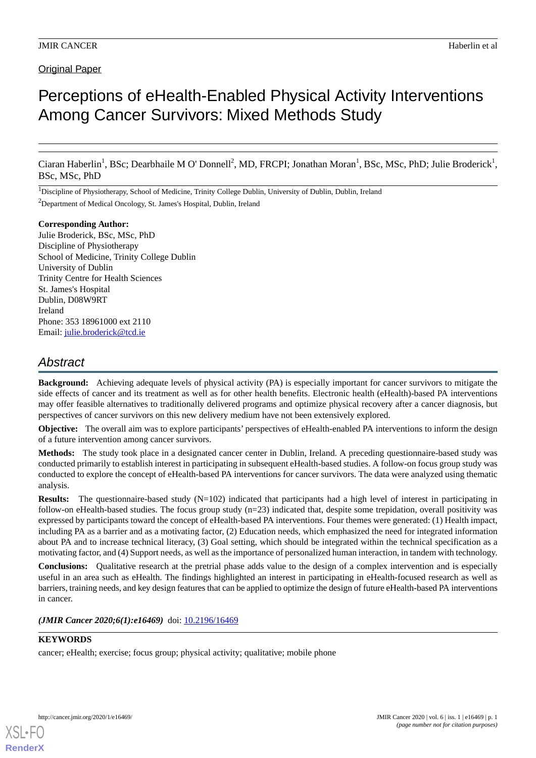# Original Paper

# Perceptions of eHealth-Enabled Physical Activity Interventions Among Cancer Survivors: Mixed Methods Study

Ciaran Haberlin<sup>1</sup>, BSc; Dearbhaile M O' Donnell<sup>2</sup>, MD, FRCPI; Jonathan Moran<sup>1</sup>, BSc, MSc, PhD; Julie Broderick<sup>1</sup>, BSc, MSc, PhD

<sup>1</sup>Discipline of Physiotherapy, School of Medicine, Trinity College Dublin, University of Dublin, Dublin, Ireland

<sup>2</sup>Department of Medical Oncology, St. James's Hospital, Dublin, Ireland

#### **Corresponding Author:**

Julie Broderick, BSc, MSc, PhD Discipline of Physiotherapy School of Medicine, Trinity College Dublin University of Dublin Trinity Centre for Health Sciences St. James's Hospital Dublin, D08W9RT Ireland Phone: 353 18961000 ext 2110 Email: [julie.broderick@tcd.ie](mailto:julie.broderick@tcd.ie)

# *Abstract*

**Background:** Achieving adequate levels of physical activity (PA) is especially important for cancer survivors to mitigate the side effects of cancer and its treatment as well as for other health benefits. Electronic health (eHealth)-based PA interventions may offer feasible alternatives to traditionally delivered programs and optimize physical recovery after a cancer diagnosis, but perspectives of cancer survivors on this new delivery medium have not been extensively explored.

**Objective:** The overall aim was to explore participants' perspectives of eHealth-enabled PA interventions to inform the design of a future intervention among cancer survivors.

**Methods:** The study took place in a designated cancer center in Dublin, Ireland. A preceding questionnaire-based study was conducted primarily to establish interest in participating in subsequent eHealth-based studies. A follow-on focus group study was conducted to explore the concept of eHealth-based PA interventions for cancer survivors. The data were analyzed using thematic analysis.

**Results:** The questionnaire-based study (N=102) indicated that participants had a high level of interest in participating in follow-on eHealth-based studies. The focus group study  $(n=23)$  indicated that, despite some trepidation, overall positivity was expressed by participants toward the concept of eHealth-based PA interventions. Four themes were generated: (1) Health impact, including PA as a barrier and as a motivating factor, (2) Education needs, which emphasized the need for integrated information about PA and to increase technical literacy, (3) Goal setting, which should be integrated within the technical specification as a motivating factor, and (4) Support needs, as well as the importance of personalized human interaction, in tandem with technology.

**Conclusions:** Qualitative research at the pretrial phase adds value to the design of a complex intervention and is especially useful in an area such as eHealth. The findings highlighted an interest in participating in eHealth-focused research as well as barriers, training needs, and key design features that can be applied to optimize the design of future eHealth-based PA interventions in cancer.

#### (JMIR Cancer 2020;6(1):e16469) doi: [10.2196/16469](http://dx.doi.org/10.2196/16469)

# **KEYWORDS**

cancer; eHealth; exercise; focus group; physical activity; qualitative; mobile phone

**[RenderX](http://www.renderx.com/)**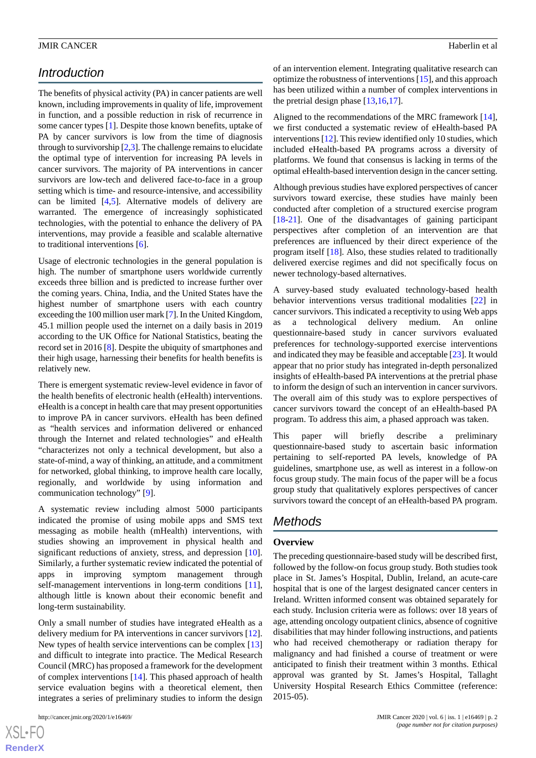# *Introduction*

The benefits of physical activity (PA) in cancer patients are well known, including improvements in quality of life, improvement in function, and a possible reduction in risk of recurrence in some cancer types [[1\]](#page-7-0). Despite those known benefits, uptake of PA by cancer survivors is low from the time of diagnosis through to survivorship [[2,](#page-8-0)[3](#page-8-1)]. The challenge remains to elucidate the optimal type of intervention for increasing PA levels in cancer survivors. The majority of PA interventions in cancer survivors are low-tech and delivered face-to-face in a group setting which is time- and resource-intensive, and accessibility can be limited [\[4](#page-8-2),[5](#page-8-3)]. Alternative models of delivery are warranted. The emergence of increasingly sophisticated technologies, with the potential to enhance the delivery of PA interventions, may provide a feasible and scalable alternative to traditional interventions [\[6](#page-8-4)].

Usage of electronic technologies in the general population is high. The number of smartphone users worldwide currently exceeds three billion and is predicted to increase further over the coming years. China, India, and the United States have the highest number of smartphone users with each country exceeding the 100 million user mark [[7](#page-8-5)]. In the United Kingdom, 45.1 million people used the internet on a daily basis in 2019 according to the UK Office for National Statistics, beating the record set in 2016 [[8\]](#page-8-6). Despite the ubiquity of smartphones and their high usage, harnessing their benefits for health benefits is relatively new.

There is emergent systematic review-level evidence in favor of the health benefits of electronic health (eHealth) interventions. eHealth is a concept in health care that may present opportunities to improve PA in cancer survivors. eHealth has been defined as "health services and information delivered or enhanced through the Internet and related technologies" and eHealth "characterizes not only a technical development, but also a state-of-mind, a way of thinking, an attitude, and a commitment for networked, global thinking, to improve health care locally, regionally, and worldwide by using information and communication technology" [[9\]](#page-8-7).

A systematic review including almost 5000 participants indicated the promise of using mobile apps and SMS text messaging as mobile health (mHealth) interventions, with studies showing an improvement in physical health and significant reductions of anxiety, stress, and depression [[10\]](#page-8-8). Similarly, a further systematic review indicated the potential of apps in improving symptom management through self-management interventions in long-term conditions [[11\]](#page-8-9), although little is known about their economic benefit and long-term sustainability.

Only a small number of studies have integrated eHealth as a delivery medium for PA interventions in cancer survivors [[12\]](#page-8-10). New types of health service interventions can be complex [\[13](#page-8-11)] and difficult to integrate into practice. The Medical Research Council (MRC) has proposed a framework for the development of complex interventions [\[14](#page-8-12)]. This phased approach of health service evaluation begins with a theoretical element, then integrates a series of preliminary studies to inform the design

 $XS$ -FO **[RenderX](http://www.renderx.com/)** of an intervention element. Integrating qualitative research can optimize the robustness of interventions [[15\]](#page-8-13), and this approach has been utilized within a number of complex interventions in the pretrial design phase [[13](#page-8-11)[,16](#page-8-14),[17\]](#page-8-15).

Aligned to the recommendations of the MRC framework [[14\]](#page-8-12), we first conducted a systematic review of eHealth-based PA interventions [\[12](#page-8-10)]. This review identified only 10 studies, which included eHealth-based PA programs across a diversity of platforms. We found that consensus is lacking in terms of the optimal eHealth-based intervention design in the cancer setting.

Although previous studies have explored perspectives of cancer survivors toward exercise, these studies have mainly been conducted after completion of a structured exercise program [[18](#page-8-16)[-21](#page-8-17)]. One of the disadvantages of gaining participant perspectives after completion of an intervention are that preferences are influenced by their direct experience of the program itself [\[18](#page-8-16)]. Also, these studies related to traditionally delivered exercise regimes and did not specifically focus on newer technology-based alternatives.

A survey-based study evaluated technology-based health behavior interventions versus traditional modalities [[22\]](#page-8-18) in cancer survivors. This indicated a receptivity to using Web apps as a technological delivery medium. An online questionnaire-based study in cancer survivors evaluated preferences for technology-supported exercise interventions and indicated they may be feasible and acceptable [[23](#page-9-0)]. It would appear that no prior study has integrated in-depth personalized insights of eHealth-based PA interventions at the pretrial phase to inform the design of such an intervention in cancer survivors. The overall aim of this study was to explore perspectives of cancer survivors toward the concept of an eHealth-based PA program. To address this aim, a phased approach was taken.

This paper will briefly describe a preliminary questionnaire-based study to ascertain basic information pertaining to self-reported PA levels, knowledge of PA guidelines, smartphone use, as well as interest in a follow-on focus group study. The main focus of the paper will be a focus group study that qualitatively explores perspectives of cancer survivors toward the concept of an eHealth-based PA program.

# *Methods*

#### **Overview**

The preceding questionnaire-based study will be described first, followed by the follow-on focus group study. Both studies took place in St. James's Hospital, Dublin, Ireland, an acute-care hospital that is one of the largest designated cancer centers in Ireland. Written informed consent was obtained separately for each study. Inclusion criteria were as follows: over 18 years of age, attending oncology outpatient clinics, absence of cognitive disabilities that may hinder following instructions, and patients who had received chemotherapy or radiation therapy for malignancy and had finished a course of treatment or were anticipated to finish their treatment within 3 months. Ethical approval was granted by St. James's Hospital, Tallaght University Hospital Research Ethics Committee (reference: 2015-05).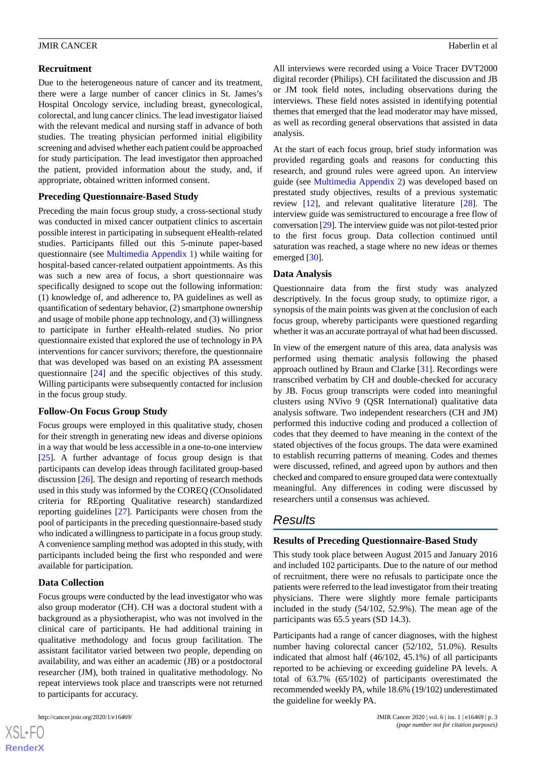#### **Recruitment**

Due to the heterogeneous nature of cancer and its treatment, there were a large number of cancer clinics in St. James's Hospital Oncology service, including breast, gynecological, colorectal, and lung cancer clinics. The lead investigator liaised with the relevant medical and nursing staff in advance of both studies. The treating physician performed initial eligibility screening and advised whether each patient could be approached for study participation. The lead investigator then approached the patient, provided information about the study, and, if appropriate, obtained written informed consent.

#### **Preceding Questionnaire-Based Study**

Preceding the main focus group study, a cross-sectional study was conducted in mixed cancer outpatient clinics to ascertain possible interest in participating in subsequent eHealth-related studies. Participants filled out this 5-minute paper-based questionnaire (see [Multimedia Appendix 1\)](#page-7-1) while waiting for hospital-based cancer-related outpatient appointments. As this was such a new area of focus, a short questionnaire was specifically designed to scope out the following information: (1) knowledge of, and adherence to, PA guidelines as well as quantification of sedentary behavior, (2) smartphone ownership and usage of mobile phone app technology, and (3) willingness to participate in further eHealth-related studies. No prior questionnaire existed that explored the use of technology in PA interventions for cancer survivors; therefore, the questionnaire that was developed was based on an existing PA assessment questionnaire [\[24](#page-9-1)] and the specific objectives of this study. Willing participants were subsequently contacted for inclusion in the focus group study.

#### **Follow-On Focus Group Study**

Focus groups were employed in this qualitative study, chosen for their strength in generating new ideas and diverse opinions in a way that would be less accessible in a one-to-one interview [[25\]](#page-9-2). A further advantage of focus group design is that participants can develop ideas through facilitated group-based discussion [\[26](#page-9-3)]. The design and reporting of research methods used in this study was informed by the COREQ (COnsolidated criteria for REporting Qualitative research) standardized reporting guidelines [\[27](#page-9-4)]. Participants were chosen from the pool of participants in the preceding questionnaire-based study who indicated a willingness to participate in a focus group study. A convenience sampling method was adopted in this study, with participants included being the first who responded and were available for participation.

#### **Data Collection**

Focus groups were conducted by the lead investigator who was also group moderator (CH). CH was a doctoral student with a background as a physiotherapist, who was not involved in the clinical care of participants. He had additional training in qualitative methodology and focus group facilitation. The assistant facilitator varied between two people, depending on availability, and was either an academic (JB) or a postdoctoral researcher (JM), both trained in qualitative methodology. No repeat interviews took place and transcripts were not returned to participants for accuracy.

All interviews were recorded using a Voice Tracer DVT2000 digital recorder (Philips). CH facilitated the discussion and JB or JM took field notes, including observations during the interviews. These field notes assisted in identifying potential themes that emerged that the lead moderator may have missed, as well as recording general observations that assisted in data analysis.

At the start of each focus group, brief study information was provided regarding goals and reasons for conducting this research, and ground rules were agreed upon. An interview guide (see [Multimedia Appendix 2\)](#page-7-2) was developed based on prestated study objectives, results of a previous systematic review [\[12](#page-8-10)], and relevant qualitative literature [\[28](#page-9-5)]. The interview guide was semistructured to encourage a free flow of conversation [\[29](#page-9-6)]. The interview guide was not pilot-tested prior to the first focus group. Data collection continued until saturation was reached, a stage where no new ideas or themes emerged [[30\]](#page-9-7).

#### **Data Analysis**

Questionnaire data from the first study was analyzed descriptively. In the focus group study, to optimize rigor, a synopsis of the main points was given at the conclusion of each focus group, whereby participants were questioned regarding whether it was an accurate portrayal of what had been discussed.

In view of the emergent nature of this area, data analysis was performed using thematic analysis following the phased approach outlined by Braun and Clarke [[31\]](#page-9-8). Recordings were transcribed verbatim by CH and double-checked for accuracy by JB. Focus group transcripts were coded into meaningful clusters using NVivo 9 (QSR International) qualitative data analysis software. Two independent researchers (CH and JM) performed this inductive coding and produced a collection of codes that they deemed to have meaning in the context of the stated objectives of the focus groups. The data were examined to establish recurring patterns of meaning. Codes and themes were discussed, refined, and agreed upon by authors and then checked and compared to ensure grouped data were contextually meaningful. Any differences in coding were discussed by researchers until a consensus was achieved.

# *Results*

#### **Results of Preceding Questionnaire-Based Study**

This study took place between August 2015 and January 2016 and included 102 participants. Due to the nature of our method of recruitment, there were no refusals to participate once the patients were referred to the lead investigator from their treating physicians. There were slightly more female participants included in the study (54/102, 52.9%). The mean age of the participants was 65.5 years (SD 14.3).

Participants had a range of cancer diagnoses, with the highest number having colorectal cancer (52/102, 51.0%). Results indicated that almost half (46/102, 45.1%) of all participants reported to be achieving or exceeding guideline PA levels. A total of 63.7% (65/102) of participants overestimated the recommended weekly PA, while 18.6% (19/102) underestimated the guideline for weekly PA.

 $XS$  $\cdot$ FC **[RenderX](http://www.renderx.com/)**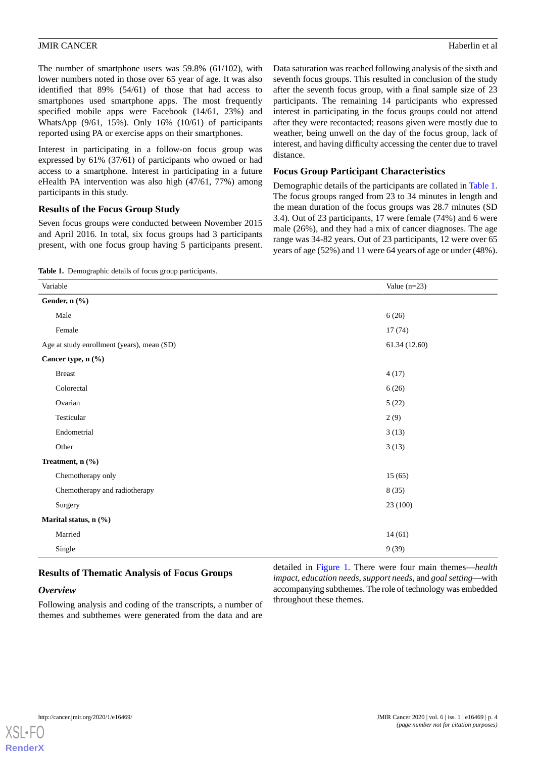The number of smartphone users was 59.8% (61/102), with lower numbers noted in those over 65 year of age. It was also identified that 89% (54/61) of those that had access to smartphones used smartphone apps. The most frequently specified mobile apps were Facebook (14/61, 23%) and WhatsApp (9/61, 15%). Only 16% (10/61) of participants reported using PA or exercise apps on their smartphones.

Interest in participating in a follow-on focus group was expressed by 61% (37/61) of participants who owned or had access to a smartphone. Interest in participating in a future eHealth PA intervention was also high (47/61, 77%) among participants in this study.

#### **Results of the Focus Group Study**

<span id="page-3-0"></span>Seven focus groups were conducted between November 2015 and April 2016. In total, six focus groups had 3 participants present, with one focus group having 5 participants present.

Data saturation was reached following analysis of the sixth and seventh focus groups. This resulted in conclusion of the study after the seventh focus group, with a final sample size of 23 participants. The remaining 14 participants who expressed interest in participating in the focus groups could not attend after they were recontacted; reasons given were mostly due to weather, being unwell on the day of the focus group, lack of interest, and having difficulty accessing the center due to travel distance.

#### **Focus Group Participant Characteristics**

Demographic details of the participants are collated in [Table 1](#page-3-0). The focus groups ranged from 23 to 34 minutes in length and the mean duration of the focus groups was 28.7 minutes (SD 3.4). Out of 23 participants, 17 were female (74%) and 6 were male (26%), and they had a mix of cancer diagnoses. The age range was 34-82 years. Out of 23 participants, 12 were over 65 years of age (52%) and 11 were 64 years of age or under (48%).

**Table 1.** Demographic details of focus group participants.

| Variable                                   | Value $(n=23)$ |
|--------------------------------------------|----------------|
| Gender, n (%)                              |                |
| Male                                       | 6(26)          |
| Female                                     | 17(74)         |
| Age at study enrollment (years), mean (SD) | 61.34 (12.60)  |
| Cancer type, n (%)                         |                |
| <b>Breast</b>                              | 4(17)          |
| Colorectal                                 | 6(26)          |
| Ovarian                                    | 5(22)          |
| Testicular                                 | 2(9)           |
| Endometrial                                | 3(13)          |
| Other                                      | 3(13)          |
| Treatment, n (%)                           |                |
| Chemotherapy only                          | 15(65)         |
| Chemotherapy and radiotherapy              | 8(35)          |
| Surgery                                    | 23(100)        |
| Marital status, n (%)                      |                |
| Married                                    | 14(61)         |
| Single                                     | 9(39)          |

# **Results of Thematic Analysis of Focus Groups**

#### *Overview*

Following analysis and coding of the transcripts, a number of themes and subthemes were generated from the data and are

detailed in [Figure 1.](#page-4-0) There were four main themes—*health impact*, *education needs*, *support needs*, and *goal setting*—with accompanying subthemes. The role of technology was embedded throughout these themes.

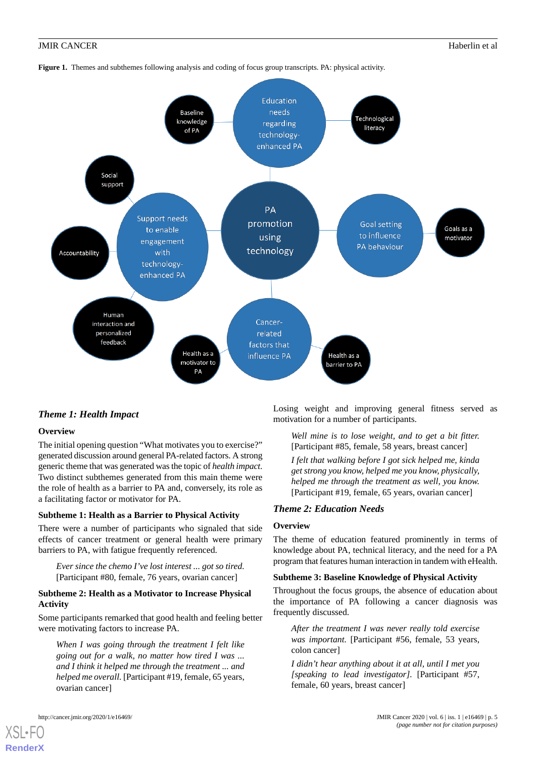

<span id="page-4-0"></span>**Figure 1.** Themes and subthemes following analysis and coding of focus group transcripts. PA: physical activity.

# *Theme 1: Health Impact*

#### **Overview**

The initial opening question "What motivates you to exercise?" generated discussion around general PA-related factors. A strong generic theme that was generated was the topic of *health impact*. Two distinct subthemes generated from this main theme were the role of health as a barrier to PA and, conversely, its role as a facilitating factor or motivator for PA.

#### **Subtheme 1: Health as a Barrier to Physical Activity**

There were a number of participants who signaled that side effects of cancer treatment or general health were primary barriers to PA, with fatigue frequently referenced.

*Ever since the chemo I've lost interest ... got so tired.* [Participant #80, female, 76 years, ovarian cancer]

#### **Subtheme 2: Health as a Motivator to Increase Physical Activity**

Some participants remarked that good health and feeling better were motivating factors to increase PA.

*When I was going through the treatment I felt like going out for a walk, no matter how tired I was ... and I think it helped me through the treatment ... and helped me overall.* [Participant #19, female, 65 years, ovarian cancer]

Losing weight and improving general fitness served as motivation for a number of participants.

*Well mine is to lose weight, and to get a bit fitter.* [Participant #85, female, 58 years, breast cancer] *I felt that walking before I got sick helped me, kinda get strong you know, helped me you know, physically, helped me through the treatment as well, you know.* [Participant #19, female, 65 years, ovarian cancer]

#### *Theme 2: Education Needs*

#### **Overview**

The theme of education featured prominently in terms of knowledge about PA, technical literacy, and the need for a PA program that features human interaction in tandem with eHealth.

#### **Subtheme 3: Baseline Knowledge of Physical Activity**

Throughout the focus groups, the absence of education about the importance of PA following a cancer diagnosis was frequently discussed.

*After the treatment I was never really told exercise was important.* [Participant #56, female, 53 years, colon cancer]

*I didn't hear anything about it at all, until I met you [speaking to lead investigator].* [Participant #57, female, 60 years, breast cancer]

[XSL](http://www.w3.org/Style/XSL)•FO **[RenderX](http://www.renderx.com/)**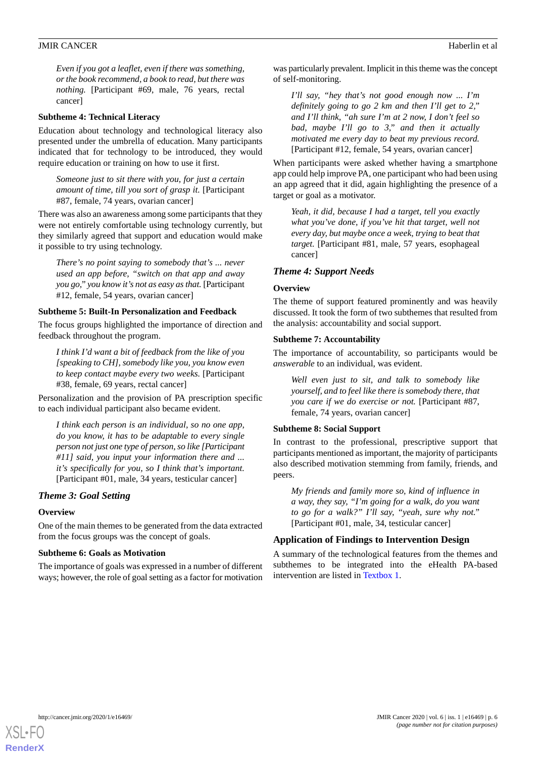*Even if you got a leaflet, even if there was something, or the book recommend, a book to read, but there was nothing.* [Participant #69, male, 76 years, rectal cancer]

#### **Subtheme 4: Technical Literacy**

Education about technology and technological literacy also presented under the umbrella of education. Many participants indicated that for technology to be introduced, they would require education or training on how to use it first.

*Someone just to sit there with you, for just a certain amount of time, till you sort of grasp it.* [Participant #87, female, 74 years, ovarian cancer]

There was also an awareness among some participants that they were not entirely comfortable using technology currently, but they similarly agreed that support and education would make it possible to try using technology.

*There's no point saying to somebody that's ... never used an app before, "switch on that app and away you go," you know it's not as easy as that.* [Participant #12, female, 54 years, ovarian cancer]

#### **Subtheme 5: Built-In Personalization and Feedback**

The focus groups highlighted the importance of direction and feedback throughout the program.

*I think I'd want a bit of feedback from the like of you [speaking to CH], somebody like you, you know even to keep contact maybe every two weeks.* [Participant #38, female, 69 years, rectal cancer]

Personalization and the provision of PA prescription specific to each individual participant also became evident.

*I think each person is an individual, so no one app, do you know, it has to be adaptable to every single person not just one type of person, so like [Participant #11] said, you input your information there and ... it's specifically for you, so I think that's important.* [Participant #01, male, 34 years, testicular cancer]

#### *Theme 3: Goal Setting*

#### **Overview**

One of the main themes to be generated from the data extracted from the focus groups was the concept of goals.

#### **Subtheme 6: Goals as Motivation**

The importance of goals was expressed in a number of different ways; however, the role of goal setting as a factor for motivation

was particularly prevalent. Implicit in this theme was the concept of self-monitoring.

*I'll say, "hey that's not good enough now ... I'm definitely going to go 2 km and then I'll get to 2," and I'll think, "ah sure I'm at 2 now, I don't feel so bad, maybe I'll go to 3," and then it actually motivated me every day to beat my previous record.* [Participant #12, female, 54 years, ovarian cancer]

When participants were asked whether having a smartphone app could help improve PA, one participant who had been using an app agreed that it did, again highlighting the presence of a target or goal as a motivator.

*Yeah, it did, because I had a target, tell you exactly what you've done, if you've hit that target, well not every day, but maybe once a week, trying to beat that target.* [Participant #81, male, 57 years, esophageal cancer]

#### *Theme 4: Support Needs*

#### **Overview**

The theme of support featured prominently and was heavily discussed. It took the form of two subthemes that resulted from the analysis: accountability and social support.

#### **Subtheme 7: Accountability**

The importance of accountability, so participants would be *answerable* to an individual, was evident.

*Well even just to sit, and talk to somebody like yourself, and to feel like there is somebody there, that you care if we do exercise or not.* [Participant #87, female, 74 years, ovarian cancer]

#### **Subtheme 8: Social Support**

In contrast to the professional, prescriptive support that participants mentioned as important, the majority of participants also described motivation stemming from family, friends, and peers.

*My friends and family more so, kind of influence in a way, they say, "I'm going for a walk, do you want to go for a walk?" I'll say, "yeah, sure why not."* [Participant #01, male, 34, testicular cancer]

#### **Application of Findings to Intervention Design**

A summary of the technological features from the themes and subthemes to be integrated into the eHealth PA-based intervention are listed in [Textbox 1.](#page-6-0)

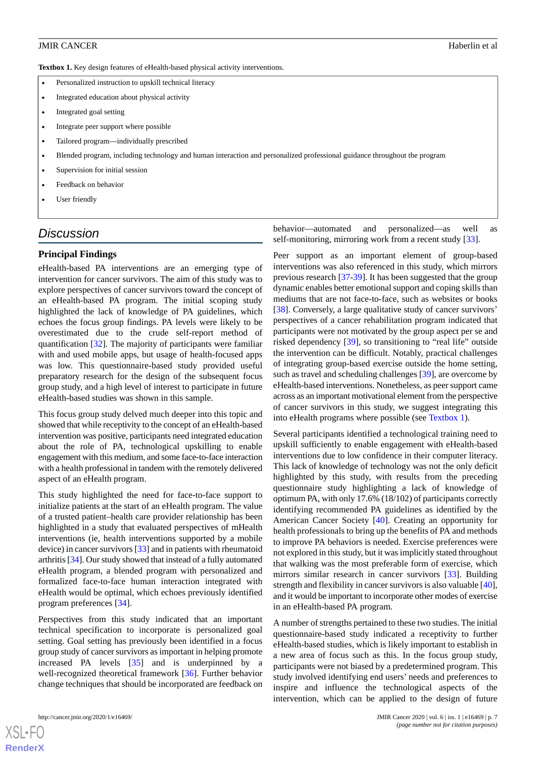<span id="page-6-0"></span>**Textbox 1.** Key design features of eHealth-based physical activity interventions.

- Personalized instruction to upskill technical literacy
- Integrated education about physical activity
- Integrated goal setting
- Integrate peer support where possible
- Tailored program—individually prescribed
- Blended program, including technology and human interaction and personalized professional guidance throughout the program
- Supervision for initial session
- Feedback on behavior
- User friendly

# *Discussion*

#### **Principal Findings**

eHealth-based PA interventions are an emerging type of intervention for cancer survivors. The aim of this study was to explore perspectives of cancer survivors toward the concept of an eHealth-based PA program. The initial scoping study highlighted the lack of knowledge of PA guidelines, which echoes the focus group findings. PA levels were likely to be overestimated due to the crude self-report method of quantification [[32\]](#page-9-9). The majority of participants were familiar with and used mobile apps, but usage of health-focused apps was low. This questionnaire-based study provided useful preparatory research for the design of the subsequent focus group study, and a high level of interest to participate in future eHealth-based studies was shown in this sample.

This focus group study delved much deeper into this topic and showed that while receptivity to the concept of an eHealth-based intervention was positive, participants need integrated education about the role of PA, technological upskilling to enable engagement with this medium, and some face-to-face interaction with a health professional in tandem with the remotely delivered aspect of an eHealth program.

This study highlighted the need for face-to-face support to initialize patients at the start of an eHealth program. The value of a trusted patient–health care provider relationship has been highlighted in a study that evaluated perspectives of mHealth interventions (ie, health interventions supported by a mobile device) in cancer survivors [[33\]](#page-9-10) and in patients with rheumatoid arthritis [\[34\]](#page-9-11). Our study showed that instead of a fully automated eHealth program, a blended program with personalized and formalized face-to-face human interaction integrated with eHealth would be optimal, which echoes previously identified program preferences [[34\]](#page-9-11).

Perspectives from this study indicated that an important technical specification to incorporate is personalized goal setting. Goal setting has previously been identified in a focus group study of cancer survivors as important in helping promote increased PA levels [\[35](#page-9-12)] and is underpinned by a well-recognized theoretical framework [\[36](#page-9-13)]. Further behavior change techniques that should be incorporated are feedback on

[XSL](http://www.w3.org/Style/XSL)•FO **[RenderX](http://www.renderx.com/)**

behavior—automated and personalized—as well as self-monitoring, mirroring work from a recent study [[33\]](#page-9-10).

Peer support as an important element of group-based interventions was also referenced in this study, which mirrors previous research [\[37](#page-9-14)[-39](#page-9-15)]. It has been suggested that the group dynamic enables better emotional support and coping skills than mediums that are not face-to-face, such as websites or books [[38\]](#page-9-16). Conversely, a large qualitative study of cancer survivors' perspectives of a cancer rehabilitation program indicated that participants were not motivated by the group aspect per se and risked dependency [\[39](#page-9-15)], so transitioning to "real life" outside the intervention can be difficult. Notably, practical challenges of integrating group-based exercise outside the home setting, such as travel and scheduling challenges [\[39](#page-9-15)], are overcome by eHealth-based interventions. Nonetheless, as peer support came across as an important motivational element from the perspective of cancer survivors in this study, we suggest integrating this into eHealth programs where possible (see [Textbox 1](#page-6-0)).

Several participants identified a technological training need to upskill sufficiently to enable engagement with eHealth-based interventions due to low confidence in their computer literacy. This lack of knowledge of technology was not the only deficit highlighted by this study, with results from the preceding questionnaire study highlighting a lack of knowledge of optimum PA, with only 17.6% (18/102) of participants correctly identifying recommended PA guidelines as identified by the American Cancer Society [[40\]](#page-9-17). Creating an opportunity for health professionals to bring up the benefits of PA and methods to improve PA behaviors is needed. Exercise preferences were not explored in this study, but it was implicitly stated throughout that walking was the most preferable form of exercise, which mirrors similar research in cancer survivors [\[33](#page-9-10)]. Building strength and flexibility in cancer survivors is also valuable [[40\]](#page-9-17), and it would be important to incorporate other modes of exercise in an eHealth-based PA program.

A number of strengths pertained to these two studies. The initial questionnaire-based study indicated a receptivity to further eHealth-based studies, which is likely important to establish in a new area of focus such as this. In the focus group study, participants were not biased by a predetermined program. This study involved identifying end users' needs and preferences to inspire and influence the technological aspects of the intervention, which can be applied to the design of future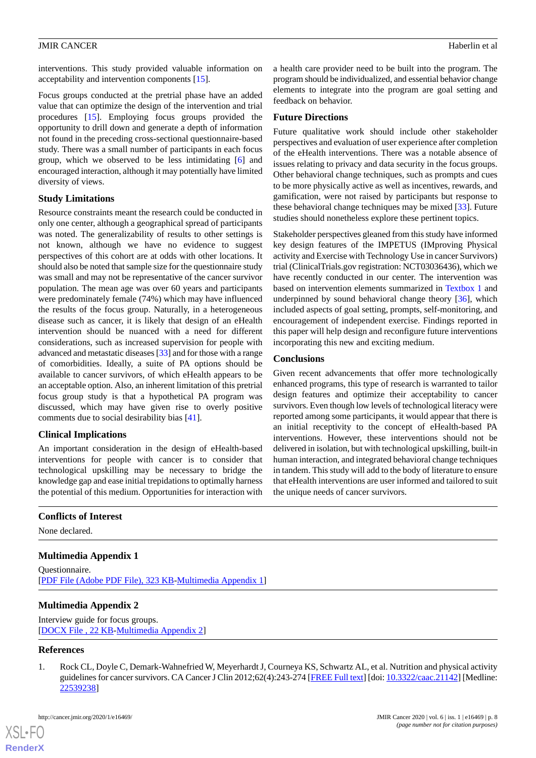interventions. This study provided valuable information on acceptability and intervention components [[15\]](#page-8-13).

Focus groups conducted at the pretrial phase have an added value that can optimize the design of the intervention and trial procedures [\[15](#page-8-13)]. Employing focus groups provided the opportunity to drill down and generate a depth of information not found in the preceding cross-sectional questionnaire-based study. There was a small number of participants in each focus group, which we observed to be less intimidating [[6\]](#page-8-4) and encouraged interaction, although it may potentially have limited diversity of views.

# **Study Limitations**

Resource constraints meant the research could be conducted in only one center, although a geographical spread of participants was noted. The generalizability of results to other settings is not known, although we have no evidence to suggest perspectives of this cohort are at odds with other locations. It should also be noted that sample size for the questionnaire study was small and may not be representative of the cancer survivor population. The mean age was over 60 years and participants were predominately female (74%) which may have influenced the results of the focus group. Naturally, in a heterogeneous disease such as cancer, it is likely that design of an eHealth intervention should be nuanced with a need for different considerations, such as increased supervision for people with advanced and metastatic diseases [[33\]](#page-9-10) and for those with a range of comorbidities. Ideally, a suite of PA options should be available to cancer survivors, of which eHealth appears to be an acceptable option. Also, an inherent limitation of this pretrial focus group study is that a hypothetical PA program was discussed, which may have given rise to overly positive comments due to social desirability bias [[41\]](#page-9-18).

# **Clinical Implications**

An important consideration in the design of eHealth-based interventions for people with cancer is to consider that technological upskilling may be necessary to bridge the knowledge gap and ease initial trepidations to optimally harness the potential of this medium. Opportunities for interaction with

a health care provider need to be built into the program. The program should be individualized, and essential behavior change elements to integrate into the program are goal setting and feedback on behavior.

# **Future Directions**

Future qualitative work should include other stakeholder perspectives and evaluation of user experience after completion of the eHealth interventions. There was a notable absence of issues relating to privacy and data security in the focus groups. Other behavioral change techniques, such as prompts and cues to be more physically active as well as incentives, rewards, and gamification, were not raised by participants but response to these behavioral change techniques may be mixed [\[33](#page-9-10)]. Future studies should nonetheless explore these pertinent topics.

Stakeholder perspectives gleaned from this study have informed key design features of the IMPETUS (IMproving Physical activity and Exercise with Technology Use in cancer Survivors) trial (ClinicalTrials.gov registration: NCT03036436), which we have recently conducted in our center. The intervention was based on intervention elements summarized in [Textbox 1](#page-6-0) and underpinned by sound behavioral change theory [[36\]](#page-9-13), which included aspects of goal setting, prompts, self-monitoring, and encouragement of independent exercise. Findings reported in this paper will help design and reconfigure future interventions incorporating this new and exciting medium.

# **Conclusions**

Given recent advancements that offer more technologically enhanced programs, this type of research is warranted to tailor design features and optimize their acceptability to cancer survivors. Even though low levels of technological literacy were reported among some participants, it would appear that there is an initial receptivity to the concept of eHealth-based PA interventions. However, these interventions should not be delivered in isolation, but with technological upskilling, built-in human interaction, and integrated behavioral change techniques in tandem. This study will add to the body of literature to ensure that eHealth interventions are user informed and tailored to suit the unique needs of cancer survivors.

# <span id="page-7-1"></span>**Conflicts of Interest**

None declared.

# <span id="page-7-2"></span>**Multimedia Appendix 1**

Questionnaire. [[PDF File \(Adobe PDF File\), 323 KB](https://jmir.org/api/download?alt_name=cancer_v6i1e16469_app1.pdf&filename=0be8672fe330df15782990452e83c61c.pdf)-[Multimedia Appendix 1\]](https://jmir.org/api/download?alt_name=cancer_v6i1e16469_app1.pdf&filename=0be8672fe330df15782990452e83c61c.pdf)

# <span id="page-7-0"></span>**Multimedia Appendix 2**

Interview guide for focus groups. [[DOCX File , 22 KB](https://jmir.org/api/download?alt_name=cancer_v6i1e16469_app2.docx&filename=052824533982c7b09fd0aaa55b26cdd7.docx)-[Multimedia Appendix 2\]](https://jmir.org/api/download?alt_name=cancer_v6i1e16469_app2.docx&filename=052824533982c7b09fd0aaa55b26cdd7.docx)

#### **References**

[XSL](http://www.w3.org/Style/XSL)•FO **[RenderX](http://www.renderx.com/)**

1. Rock CL, Doyle C, Demark-Wahnefried W, Meyerhardt J, Courneya KS, Schwartz AL, et al. Nutrition and physical activity guidelines for cancer survivors. CA Cancer J Clin 2012;62(4):243-274 [\[FREE Full text\]](https://doi.org/10.3322/caac.21142) [doi: [10.3322/caac.21142\]](http://dx.doi.org/10.3322/caac.21142) [Medline: [22539238](http://www.ncbi.nlm.nih.gov/entrez/query.fcgi?cmd=Retrieve&db=PubMed&list_uids=22539238&dopt=Abstract)]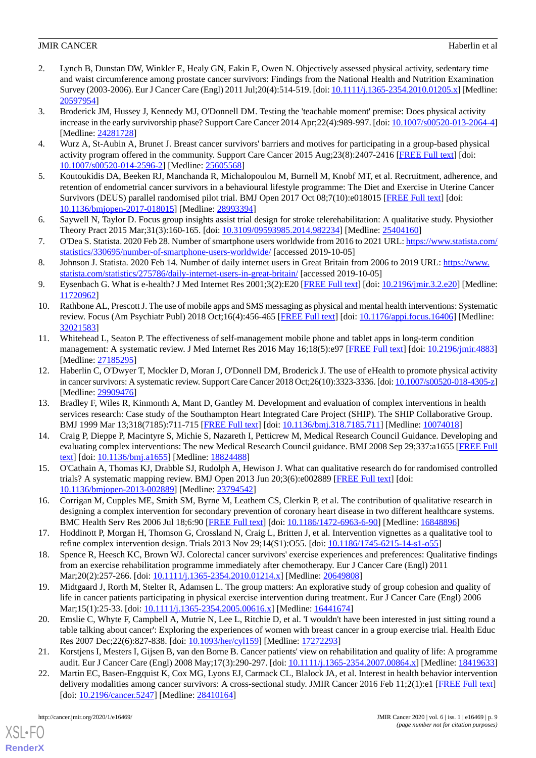- <span id="page-8-0"></span>2. Lynch B, Dunstan DW, Winkler E, Healy GN, Eakin E, Owen N. Objectively assessed physical activity, sedentary time and waist circumference among prostate cancer survivors: Findings from the National Health and Nutrition Examination Survey (2003-2006). Eur J Cancer Care (Engl) 2011 Jul;20(4):514-519. [doi: [10.1111/j.1365-2354.2010.01205.x](http://dx.doi.org/10.1111/j.1365-2354.2010.01205.x)] [Medline: [20597954](http://www.ncbi.nlm.nih.gov/entrez/query.fcgi?cmd=Retrieve&db=PubMed&list_uids=20597954&dopt=Abstract)]
- <span id="page-8-1"></span>3. Broderick JM, Hussey J, Kennedy MJ, O'Donnell DM. Testing the 'teachable moment' premise: Does physical activity increase in the early survivorship phase? Support Care Cancer 2014 Apr;22(4):989-997. [doi: [10.1007/s00520-013-2064-4](http://dx.doi.org/10.1007/s00520-013-2064-4)] [Medline: [24281728](http://www.ncbi.nlm.nih.gov/entrez/query.fcgi?cmd=Retrieve&db=PubMed&list_uids=24281728&dopt=Abstract)]
- <span id="page-8-3"></span><span id="page-8-2"></span>4. Wurz A, St-Aubin A, Brunet J. Breast cancer survivors' barriers and motives for participating in a group-based physical activity program offered in the community. Support Care Cancer 2015 Aug;23(8):2407-2416 [[FREE Full text](http://europepmc.org/abstract/MED/25605568)] [doi: [10.1007/s00520-014-2596-2\]](http://dx.doi.org/10.1007/s00520-014-2596-2) [Medline: [25605568](http://www.ncbi.nlm.nih.gov/entrez/query.fcgi?cmd=Retrieve&db=PubMed&list_uids=25605568&dopt=Abstract)]
- 5. Koutoukidis DA, Beeken RJ, Manchanda R, Michalopoulou M, Burnell M, Knobf MT, et al. Recruitment, adherence, and retention of endometrial cancer survivors in a behavioural lifestyle programme: The Diet and Exercise in Uterine Cancer Survivors (DEUS) parallel randomised pilot trial. BMJ Open 2017 Oct 08;7(10):e018015 [\[FREE Full text\]](http://bmjopen.bmj.com/cgi/pmidlookup?view=long&pmid=28993394) [doi: [10.1136/bmjopen-2017-018015\]](http://dx.doi.org/10.1136/bmjopen-2017-018015) [Medline: [28993394](http://www.ncbi.nlm.nih.gov/entrez/query.fcgi?cmd=Retrieve&db=PubMed&list_uids=28993394&dopt=Abstract)]
- <span id="page-8-5"></span><span id="page-8-4"></span>6. Saywell N, Taylor D. Focus group insights assist trial design for stroke telerehabilitation: A qualitative study. Physiother Theory Pract 2015 Mar;31(3):160-165. [doi: [10.3109/09593985.2014.982234](http://dx.doi.org/10.3109/09593985.2014.982234)] [Medline: [25404160](http://www.ncbi.nlm.nih.gov/entrez/query.fcgi?cmd=Retrieve&db=PubMed&list_uids=25404160&dopt=Abstract)]
- <span id="page-8-6"></span>7. O'Dea S. Statista. 2020 Feb 28. Number of smartphone users worldwide from 2016 to 2021 URL: [https://www.statista.com/](https://www.statista.com/statistics/330695/number-of-smartphone-users-worldwide/) [statistics/330695/number-of-smartphone-users-worldwide/](https://www.statista.com/statistics/330695/number-of-smartphone-users-worldwide/) [accessed 2019-10-05]
- <span id="page-8-7"></span>8. Johnson J. Statista. 2020 Feb 14. Number of daily internet users in Great Britain from 2006 to 2019 URL: [https://www.](https://www.statista.com/statistics/275786/daily-internet-users-in-great-britain/) [statista.com/statistics/275786/daily-internet-users-in-great-britain/](https://www.statista.com/statistics/275786/daily-internet-users-in-great-britain/) [accessed 2019-10-05]
- <span id="page-8-8"></span>9. Eysenbach G. What is e-health? J Med Internet Res 2001;3(2):E20 [[FREE Full text\]](https://www.jmir.org/2001/2/e20/) [doi: [10.2196/jmir.3.2.e20\]](http://dx.doi.org/10.2196/jmir.3.2.e20) [Medline: [11720962](http://www.ncbi.nlm.nih.gov/entrez/query.fcgi?cmd=Retrieve&db=PubMed&list_uids=11720962&dopt=Abstract)]
- <span id="page-8-9"></span>10. Rathbone AL, Prescott J. The use of mobile apps and SMS messaging as physical and mental health interventions: Systematic review. Focus (Am Psychiatr Publ) 2018 Oct;16(4):456-465 [[FREE Full text](http://europepmc.org/abstract/MED/32021583)] [doi: [10.1176/appi.focus.16406\]](http://dx.doi.org/10.1176/appi.focus.16406) [Medline: [32021583](http://www.ncbi.nlm.nih.gov/entrez/query.fcgi?cmd=Retrieve&db=PubMed&list_uids=32021583&dopt=Abstract)]
- <span id="page-8-10"></span>11. Whitehead L, Seaton P. The effectiveness of self-management mobile phone and tablet apps in long-term condition management: A systematic review. J Med Internet Res 2016 May 16;18(5):e97 [[FREE Full text\]](https://www.jmir.org/2016/5/e97/) [doi: [10.2196/jmir.4883](http://dx.doi.org/10.2196/jmir.4883)] [Medline: [27185295](http://www.ncbi.nlm.nih.gov/entrez/query.fcgi?cmd=Retrieve&db=PubMed&list_uids=27185295&dopt=Abstract)]
- <span id="page-8-11"></span>12. Haberlin C, O'Dwyer T, Mockler D, Moran J, O'Donnell DM, Broderick J. The use of eHealth to promote physical activity in cancer survivors: A systematic review. Support Care Cancer 2018 Oct;26(10):3323-3336. [doi: [10.1007/s00520-018-4305-z\]](http://dx.doi.org/10.1007/s00520-018-4305-z) [Medline: [29909476](http://www.ncbi.nlm.nih.gov/entrez/query.fcgi?cmd=Retrieve&db=PubMed&list_uids=29909476&dopt=Abstract)]
- <span id="page-8-12"></span>13. Bradley F, Wiles R, Kinmonth A, Mant D, Gantley M. Development and evaluation of complex interventions in health services research: Case study of the Southampton Heart Integrated Care Project (SHIP). The SHIP Collaborative Group. BMJ 1999 Mar 13;318(7185):711-715 [\[FREE Full text\]](http://europepmc.org/abstract/MED/10074018) [doi: [10.1136/bmj.318.7185.711](http://dx.doi.org/10.1136/bmj.318.7185.711)] [Medline: [10074018](http://www.ncbi.nlm.nih.gov/entrez/query.fcgi?cmd=Retrieve&db=PubMed&list_uids=10074018&dopt=Abstract)]
- <span id="page-8-14"></span><span id="page-8-13"></span>14. Craig P, Dieppe P, Macintyre S, Michie S, Nazareth I, Petticrew M, Medical Research Council Guidance. Developing and evaluating complex interventions: The new Medical Research Council guidance. BMJ 2008 Sep 29;337:a1655 [[FREE Full](http://europepmc.org/abstract/MED/18824488) [text](http://europepmc.org/abstract/MED/18824488)] [doi: [10.1136/bmj.a1655](http://dx.doi.org/10.1136/bmj.a1655)] [Medline: [18824488](http://www.ncbi.nlm.nih.gov/entrez/query.fcgi?cmd=Retrieve&db=PubMed&list_uids=18824488&dopt=Abstract)]
- <span id="page-8-15"></span>15. O'Cathain A, Thomas KJ, Drabble SJ, Rudolph A, Hewison J. What can qualitative research do for randomised controlled trials? A systematic mapping review. BMJ Open 2013 Jun 20;3(6):e002889 [[FREE Full text](http://bmjopen.bmj.com/cgi/pmidlookup?view=long&pmid=23794542)] [doi: [10.1136/bmjopen-2013-002889\]](http://dx.doi.org/10.1136/bmjopen-2013-002889) [Medline: [23794542](http://www.ncbi.nlm.nih.gov/entrez/query.fcgi?cmd=Retrieve&db=PubMed&list_uids=23794542&dopt=Abstract)]
- <span id="page-8-16"></span>16. Corrigan M, Cupples ME, Smith SM, Byrne M, Leathem CS, Clerkin P, et al. The contribution of qualitative research in designing a complex intervention for secondary prevention of coronary heart disease in two different healthcare systems. BMC Health Serv Res 2006 Jul 18;6:90 [[FREE Full text](https://bmchealthservres.biomedcentral.com/articles/10.1186/1472-6963-6-90)] [doi: [10.1186/1472-6963-6-90\]](http://dx.doi.org/10.1186/1472-6963-6-90) [Medline: [16848896\]](http://www.ncbi.nlm.nih.gov/entrez/query.fcgi?cmd=Retrieve&db=PubMed&list_uids=16848896&dopt=Abstract)
- 17. Hoddinott P, Morgan H, Thomson G, Crossland N, Craig L, Britten J, et al. Intervention vignettes as a qualitative tool to refine complex intervention design. Trials 2013 Nov 29;14(S1):O55. [doi: [10.1186/1745-6215-14-s1-o55](http://dx.doi.org/10.1186/1745-6215-14-s1-o55)]
- 18. Spence R, Heesch KC, Brown WJ. Colorectal cancer survivors' exercise experiences and preferences: Qualitative findings from an exercise rehabilitation programme immediately after chemotherapy. Eur J Cancer Care (Engl) 2011 Mar;20(2):257-266. [doi: [10.1111/j.1365-2354.2010.01214.x\]](http://dx.doi.org/10.1111/j.1365-2354.2010.01214.x) [Medline: [20649808](http://www.ncbi.nlm.nih.gov/entrez/query.fcgi?cmd=Retrieve&db=PubMed&list_uids=20649808&dopt=Abstract)]
- <span id="page-8-17"></span>19. Midtgaard J, Rorth M, Stelter R, Adamsen L. The group matters: An explorative study of group cohesion and quality of life in cancer patients participating in physical exercise intervention during treatment. Eur J Cancer Care (Engl) 2006 Mar;15(1):25-33. [doi: [10.1111/j.1365-2354.2005.00616.x\]](http://dx.doi.org/10.1111/j.1365-2354.2005.00616.x) [Medline: [16441674](http://www.ncbi.nlm.nih.gov/entrez/query.fcgi?cmd=Retrieve&db=PubMed&list_uids=16441674&dopt=Abstract)]
- <span id="page-8-18"></span>20. Emslie C, Whyte F, Campbell A, Mutrie N, Lee L, Ritchie D, et al. 'I wouldn't have been interested in just sitting round a table talking about cancer': Exploring the experiences of women with breast cancer in a group exercise trial. Health Educ Res 2007 Dec;22(6):827-838. [doi: [10.1093/her/cyl159\]](http://dx.doi.org/10.1093/her/cyl159) [Medline: [17272293](http://www.ncbi.nlm.nih.gov/entrez/query.fcgi?cmd=Retrieve&db=PubMed&list_uids=17272293&dopt=Abstract)]
- 21. Korstjens I, Mesters I, Gijsen B, van den Borne B. Cancer patients' view on rehabilitation and quality of life: A programme audit. Eur J Cancer Care (Engl) 2008 May;17(3):290-297. [doi: [10.1111/j.1365-2354.2007.00864.x](http://dx.doi.org/10.1111/j.1365-2354.2007.00864.x)] [Medline: [18419633](http://www.ncbi.nlm.nih.gov/entrez/query.fcgi?cmd=Retrieve&db=PubMed&list_uids=18419633&dopt=Abstract)]
- 22. Martin EC, Basen-Engquist K, Cox MG, Lyons EJ, Carmack CL, Blalock JA, et al. Interest in health behavior intervention delivery modalities among cancer survivors: A cross-sectional study. JMIR Cancer 2016 Feb 11;2(1):e1 [\[FREE Full text\]](https://cancer.jmir.org/2016/1/e1/) [doi: [10.2196/cancer.5247](http://dx.doi.org/10.2196/cancer.5247)] [Medline: [28410164](http://www.ncbi.nlm.nih.gov/entrez/query.fcgi?cmd=Retrieve&db=PubMed&list_uids=28410164&dopt=Abstract)]

[XSL](http://www.w3.org/Style/XSL)•FO **[RenderX](http://www.renderx.com/)**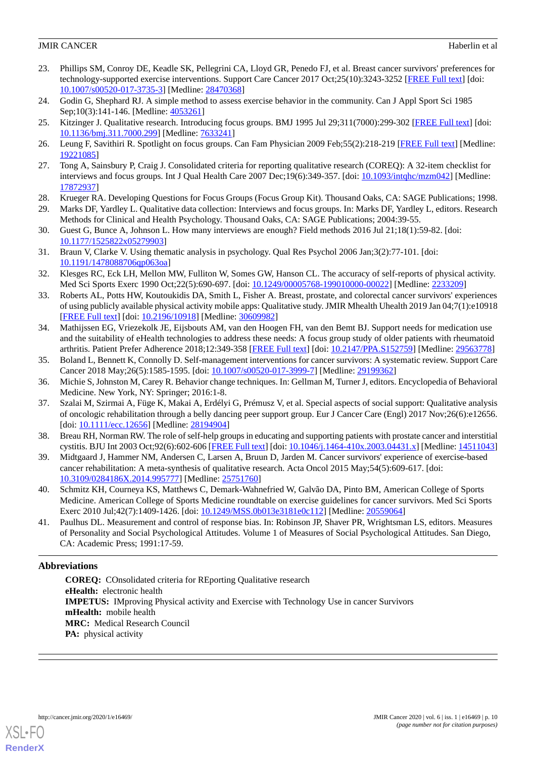- <span id="page-9-0"></span>23. Phillips SM, Conroy DE, Keadle SK, Pellegrini CA, Lloyd GR, Penedo FJ, et al. Breast cancer survivors' preferences for technology-supported exercise interventions. Support Care Cancer 2017 Oct;25(10):3243-3252 [[FREE Full text](http://europepmc.org/abstract/MED/28470368)] [doi: [10.1007/s00520-017-3735-3\]](http://dx.doi.org/10.1007/s00520-017-3735-3) [Medline: [28470368](http://www.ncbi.nlm.nih.gov/entrez/query.fcgi?cmd=Retrieve&db=PubMed&list_uids=28470368&dopt=Abstract)]
- <span id="page-9-2"></span><span id="page-9-1"></span>24. Godin G, Shephard RJ. A simple method to assess exercise behavior in the community. Can J Appl Sport Sci 1985 Sep;10(3):141-146. [Medline: [4053261](http://www.ncbi.nlm.nih.gov/entrez/query.fcgi?cmd=Retrieve&db=PubMed&list_uids=4053261&dopt=Abstract)]
- <span id="page-9-3"></span>25. Kitzinger J. Qualitative research. Introducing focus groups. BMJ 1995 Jul 29;311(7000):299-302 [\[FREE Full text\]](http://europepmc.org/abstract/MED/7633241) [doi: [10.1136/bmj.311.7000.299\]](http://dx.doi.org/10.1136/bmj.311.7000.299) [Medline: [7633241\]](http://www.ncbi.nlm.nih.gov/entrez/query.fcgi?cmd=Retrieve&db=PubMed&list_uids=7633241&dopt=Abstract)
- <span id="page-9-4"></span>26. Leung F, Savithiri R. Spotlight on focus groups. Can Fam Physician 2009 Feb;55(2):218-219 [[FREE Full text](http://www.cfp.ca/cgi/pmidlookup?view=long&pmid=19221085)] [Medline: [19221085](http://www.ncbi.nlm.nih.gov/entrez/query.fcgi?cmd=Retrieve&db=PubMed&list_uids=19221085&dopt=Abstract)]
- <span id="page-9-5"></span>27. Tong A, Sainsbury P, Craig J. Consolidated criteria for reporting qualitative research (COREQ): A 32-item checklist for interviews and focus groups. Int J Qual Health Care 2007 Dec;19(6):349-357. [doi: [10.1093/intqhc/mzm042\]](http://dx.doi.org/10.1093/intqhc/mzm042) [Medline: [17872937](http://www.ncbi.nlm.nih.gov/entrez/query.fcgi?cmd=Retrieve&db=PubMed&list_uids=17872937&dopt=Abstract)]
- <span id="page-9-6"></span>28. Krueger RA. Developing Questions for Focus Groups (Focus Group Kit). Thousand Oaks, CA: SAGE Publications; 1998.
- <span id="page-9-7"></span>29. Marks DF, Yardley L. Qualitative data collection: Interviews and focus groups. In: Marks DF, Yardley L, editors. Research Methods for Clinical and Health Psychology. Thousand Oaks, CA: SAGE Publications; 2004:39-55.
- <span id="page-9-8"></span>30. Guest G, Bunce A, Johnson L. How many interviews are enough? Field methods 2016 Jul 21;18(1):59-82. [doi: [10.1177/1525822x05279903\]](http://dx.doi.org/10.1177/1525822x05279903)
- <span id="page-9-9"></span>31. Braun V, Clarke V. Using thematic analysis in psychology. Qual Res Psychol 2006 Jan;3(2):77-101. [doi: [10.1191/1478088706qp063oa](http://dx.doi.org/10.1191/1478088706qp063oa)]
- <span id="page-9-10"></span>32. Klesges RC, Eck LH, Mellon MW, Fulliton W, Somes GW, Hanson CL. The accuracy of self-reports of physical activity. Med Sci Sports Exerc 1990 Oct;22(5):690-697. [doi: [10.1249/00005768-199010000-00022](http://dx.doi.org/10.1249/00005768-199010000-00022)] [Medline: [2233209\]](http://www.ncbi.nlm.nih.gov/entrez/query.fcgi?cmd=Retrieve&db=PubMed&list_uids=2233209&dopt=Abstract)
- <span id="page-9-11"></span>33. Roberts AL, Potts HW, Koutoukidis DA, Smith L, Fisher A. Breast, prostate, and colorectal cancer survivors' experiences of using publicly available physical activity mobile apps: Qualitative study. JMIR Mhealth Uhealth 2019 Jan 04;7(1):e10918 [[FREE Full text](https://mhealth.jmir.org/2019/1/e10918/)] [doi: [10.2196/10918\]](http://dx.doi.org/10.2196/10918) [Medline: [30609982\]](http://www.ncbi.nlm.nih.gov/entrez/query.fcgi?cmd=Retrieve&db=PubMed&list_uids=30609982&dopt=Abstract)
- <span id="page-9-12"></span>34. Mathijssen EG, Vriezekolk JE, Eijsbouts AM, van den Hoogen FH, van den Bemt BJ. Support needs for medication use and the suitability of eHealth technologies to address these needs: A focus group study of older patients with rheumatoid arthritis. Patient Prefer Adherence 2018;12:349-358 [\[FREE Full text\]](https://dx.doi.org/10.2147/PPA.S152759) [doi: [10.2147/PPA.S152759\]](http://dx.doi.org/10.2147/PPA.S152759) [Medline: [29563778](http://www.ncbi.nlm.nih.gov/entrez/query.fcgi?cmd=Retrieve&db=PubMed&list_uids=29563778&dopt=Abstract)]
- <span id="page-9-14"></span><span id="page-9-13"></span>35. Boland L, Bennett K, Connolly D. Self-management interventions for cancer survivors: A systematic review. Support Care Cancer 2018 May;26(5):1585-1595. [doi: [10.1007/s00520-017-3999-7](http://dx.doi.org/10.1007/s00520-017-3999-7)] [Medline: [29199362](http://www.ncbi.nlm.nih.gov/entrez/query.fcgi?cmd=Retrieve&db=PubMed&list_uids=29199362&dopt=Abstract)]
- <span id="page-9-16"></span>36. Michie S, Johnston M, Carey R. Behavior change techniques. In: Gellman M, Turner J, editors. Encyclopedia of Behavioral Medicine. New York, NY: Springer; 2016:1-8.
- <span id="page-9-15"></span>37. Szalai M, Szirmai A, Füge K, Makai A, Erdélyi G, Prémusz V, et al. Special aspects of social support: Qualitative analysis of oncologic rehabilitation through a belly dancing peer support group. Eur J Cancer Care (Engl) 2017 Nov;26(6):e12656. [doi: [10.1111/ecc.12656](http://dx.doi.org/10.1111/ecc.12656)] [Medline: [28194904\]](http://www.ncbi.nlm.nih.gov/entrez/query.fcgi?cmd=Retrieve&db=PubMed&list_uids=28194904&dopt=Abstract)
- <span id="page-9-17"></span>38. Breau RH, Norman RW. The role of self-help groups in educating and supporting patients with prostate cancer and interstitial cystitis. BJU Int 2003 Oct;92(6):602-606 [[FREE Full text\]](https://onlinelibrary.wiley.com/resolve/openurl?genre=article&sid=nlm:pubmed&issn=1464-4096&date=2003&volume=92&issue=6&spage=602) [doi: [10.1046/j.1464-410x.2003.04431.x](http://dx.doi.org/10.1046/j.1464-410x.2003.04431.x)] [Medline: [14511043](http://www.ncbi.nlm.nih.gov/entrez/query.fcgi?cmd=Retrieve&db=PubMed&list_uids=14511043&dopt=Abstract)]
- <span id="page-9-18"></span>39. Midtgaard J, Hammer NM, Andersen C, Larsen A, Bruun D, Jarden M. Cancer survivors' experience of exercise-based cancer rehabilitation: A meta-synthesis of qualitative research. Acta Oncol 2015 May;54(5):609-617. [doi: [10.3109/0284186X.2014.995777](http://dx.doi.org/10.3109/0284186X.2014.995777)] [Medline: [25751760\]](http://www.ncbi.nlm.nih.gov/entrez/query.fcgi?cmd=Retrieve&db=PubMed&list_uids=25751760&dopt=Abstract)
- 40. Schmitz KH, Courneya KS, Matthews C, Demark-Wahnefried W, Galvão DA, Pinto BM, American College of Sports Medicine. American College of Sports Medicine roundtable on exercise guidelines for cancer survivors. Med Sci Sports Exerc 2010 Jul;42(7):1409-1426. [doi: [10.1249/MSS.0b013e3181e0c112](http://dx.doi.org/10.1249/MSS.0b013e3181e0c112)] [Medline: [20559064](http://www.ncbi.nlm.nih.gov/entrez/query.fcgi?cmd=Retrieve&db=PubMed&list_uids=20559064&dopt=Abstract)]
- 41. Paulhus DL. Measurement and control of response bias. In: Robinson JP, Shaver PR, Wrightsman LS, editors. Measures of Personality and Social Psychological Attitudes. Volume 1 of Measures of Social Psychological Attitudes. San Diego, CA: Academic Press; 1991:17-59.

# **Abbreviations**

**COREQ:** COnsolidated criteria for REporting Qualitative research **eHealth:** electronic health **IMPETUS:** IMproving Physical activity and Exercise with Technology Use in cancer Survivors **mHealth:** mobile health **MRC:** Medical Research Council **PA:** physical activity